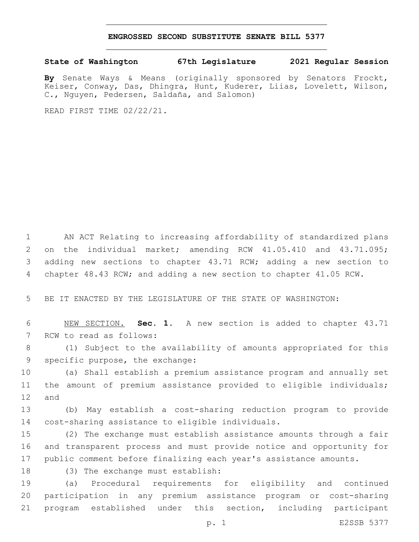## **ENGROSSED SECOND SUBSTITUTE SENATE BILL 5377**

## **State of Washington 67th Legislature 2021 Regular Session**

**By** Senate Ways & Means (originally sponsored by Senators Frockt, Keiser, Conway, Das, Dhingra, Hunt, Kuderer, Liias, Lovelett, Wilson, C., Nguyen, Pedersen, Saldaña, and Salomon)

READ FIRST TIME 02/22/21.

 AN ACT Relating to increasing affordability of standardized plans on the individual market; amending RCW 41.05.410 and 43.71.095; adding new sections to chapter 43.71 RCW; adding a new section to chapter 48.43 RCW; and adding a new section to chapter 41.05 RCW.

5 BE IT ENACTED BY THE LEGISLATURE OF THE STATE OF WASHINGTON:

6 NEW SECTION. **Sec. 1.** A new section is added to chapter 43.71 7 RCW to read as follows:

8 (1) Subject to the availability of amounts appropriated for this 9 specific purpose, the exchange:

10 (a) Shall establish a premium assistance program and annually set 11 the amount of premium assistance provided to eligible individuals; 12 and

13 (b) May establish a cost-sharing reduction program to provide 14 cost-sharing assistance to eligible individuals.

15 (2) The exchange must establish assistance amounts through a fair 16 and transparent process and must provide notice and opportunity for 17 public comment before finalizing each year's assistance amounts.

18 (3) The exchange must establish:

19 (a) Procedural requirements for eligibility and continued 20 participation in any premium assistance program or cost-sharing 21 program established under this section, including participant

p. 1 E2SSB 5377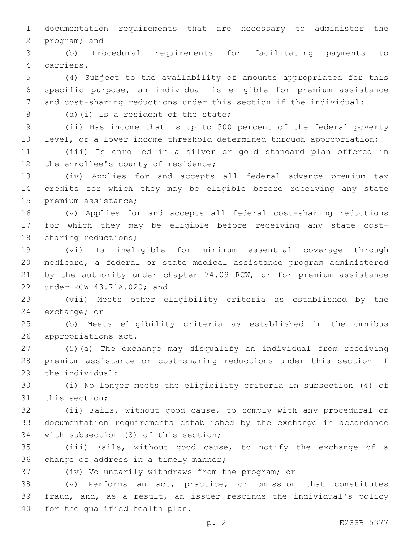documentation requirements that are necessary to administer the 2 program; and

 (b) Procedural requirements for facilitating payments to carriers.4

 (4) Subject to the availability of amounts appropriated for this specific purpose, an individual is eligible for premium assistance and cost-sharing reductions under this section if the individual:

(a)(i) Is a resident of the state;8

 (ii) Has income that is up to 500 percent of the federal poverty 10 level, or a lower income threshold determined through appropriation;

 (iii) Is enrolled in a silver or gold standard plan offered in 12 the enrollee's county of residence;

 (iv) Applies for and accepts all federal advance premium tax credits for which they may be eligible before receiving any state 15 premium assistance;

 (v) Applies for and accepts all federal cost-sharing reductions for which they may be eligible before receiving any state cost-18 sharing reductions;

 (vi) Is ineligible for minimum essential coverage through medicare, a federal or state medical assistance program administered by the authority under chapter 74.09 RCW, or for premium assistance 22 under RCW 43.71A.020; and

 (vii) Meets other eligibility criteria as established by the 24 exchange; or

 (b) Meets eligibility criteria as established in the omnibus 26 appropriations act.

 (5)(a) The exchange may disqualify an individual from receiving premium assistance or cost-sharing reductions under this section if 29 the individual:

 (i) No longer meets the eligibility criteria in subsection (4) of 31 this section;

 (ii) Fails, without good cause, to comply with any procedural or documentation requirements established by the exchange in accordance 34 with subsection (3) of this section;

 (iii) Fails, without good cause, to notify the exchange of a 36 change of address in a timely manner;

(iv) Voluntarily withdraws from the program; or

 (v) Performs an act, practice, or omission that constitutes fraud, and, as a result, an issuer rescinds the individual's policy 40 for the qualified health plan.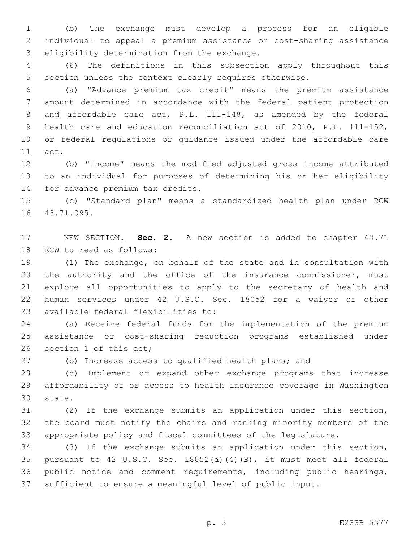(b) The exchange must develop a process for an eligible individual to appeal a premium assistance or cost-sharing assistance 3 eligibility determination from the exchange.

 (6) The definitions in this subsection apply throughout this section unless the context clearly requires otherwise.

 (a) "Advance premium tax credit" means the premium assistance amount determined in accordance with the federal patient protection and affordable care act, P.L. 111-148, as amended by the federal health care and education reconciliation act of 2010, P.L. 111-152, or federal regulations or guidance issued under the affordable care 11 act.

 (b) "Income" means the modified adjusted gross income attributed to an individual for purposes of determining his or her eligibility 14 for advance premium tax credits.

 (c) "Standard plan" means a standardized health plan under RCW 16 43.71.095.

 NEW SECTION. **Sec. 2.** A new section is added to chapter 43.71 18 RCW to read as follows:

 (1) The exchange, on behalf of the state and in consultation with 20 the authority and the office of the insurance commissioner, must explore all opportunities to apply to the secretary of health and human services under 42 U.S.C. Sec. 18052 for a waiver or other 23 available federal flexibilities to:

 (a) Receive federal funds for the implementation of the premium assistance or cost-sharing reduction programs established under 26 section 1 of this act;

(b) Increase access to qualified health plans; and

 (c) Implement or expand other exchange programs that increase affordability of or access to health insurance coverage in Washington 30 state.

 (2) If the exchange submits an application under this section, the board must notify the chairs and ranking minority members of the appropriate policy and fiscal committees of the legislature.

 (3) If the exchange submits an application under this section, pursuant to 42 U.S.C. Sec. 18052(a)(4)(B), it must meet all federal public notice and comment requirements, including public hearings, sufficient to ensure a meaningful level of public input.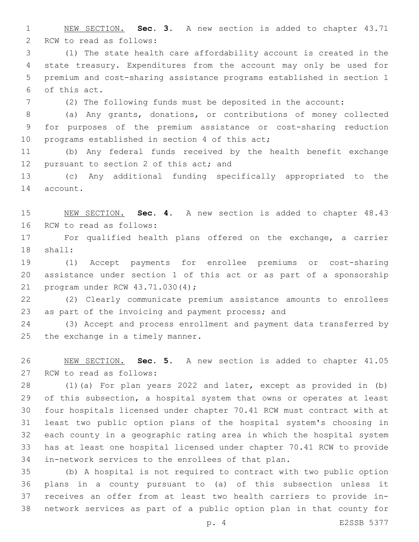NEW SECTION. **Sec. 3.** A new section is added to chapter 43.71 2 RCW to read as follows:

 (1) The state health care affordability account is created in the state treasury. Expenditures from the account may only be used for premium and cost-sharing assistance programs established in section 1 of this act.6

(2) The following funds must be deposited in the account:

 (a) Any grants, donations, or contributions of money collected for purposes of the premium assistance or cost-sharing reduction 10 programs established in section 4 of this act;

 (b) Any federal funds received by the health benefit exchange 12 pursuant to section 2 of this act; and

 (c) Any additional funding specifically appropriated to the 14 account.

 NEW SECTION. **Sec. 4.** A new section is added to chapter 48.43 16 RCW to read as follows:

 For qualified health plans offered on the exchange, a carrier 18 shall:

 (1) Accept payments for enrollee premiums or cost-sharing assistance under section 1 of this act or as part of a sponsorship 21 program under RCW 43.71.030(4);

 (2) Clearly communicate premium assistance amounts to enrollees 23 as part of the invoicing and payment process; and

 (3) Accept and process enrollment and payment data transferred by the exchange in a timely manner.

 NEW SECTION. **Sec. 5.** A new section is added to chapter 41.05 27 RCW to read as follows:

 (1)(a) For plan years 2022 and later, except as provided in (b) of this subsection, a hospital system that owns or operates at least four hospitals licensed under chapter 70.41 RCW must contract with at least two public option plans of the hospital system's choosing in each county in a geographic rating area in which the hospital system has at least one hospital licensed under chapter 70.41 RCW to provide in-network services to the enrollees of that plan.

 (b) A hospital is not required to contract with two public option plans in a county pursuant to (a) of this subsection unless it receives an offer from at least two health carriers to provide in-network services as part of a public option plan in that county for

p. 4 E2SSB 5377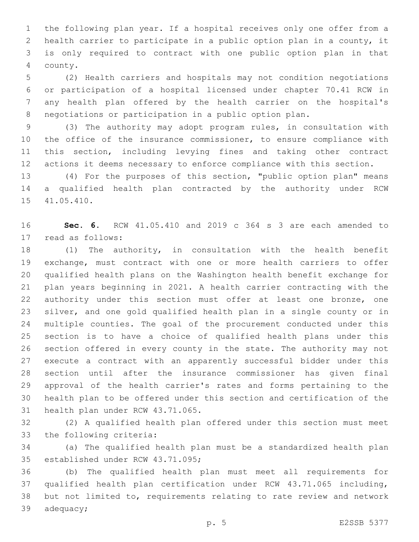the following plan year. If a hospital receives only one offer from a health carrier to participate in a public option plan in a county, it is only required to contract with one public option plan in that county.4

 (2) Health carriers and hospitals may not condition negotiations or participation of a hospital licensed under chapter 70.41 RCW in any health plan offered by the health carrier on the hospital's negotiations or participation in a public option plan.

 (3) The authority may adopt program rules, in consultation with the office of the insurance commissioner, to ensure compliance with this section, including levying fines and taking other contract actions it deems necessary to enforce compliance with this section.

 (4) For the purposes of this section, "public option plan" means a qualified health plan contracted by the authority under RCW 15 41.05.410.

 **Sec. 6.** RCW 41.05.410 and 2019 c 364 s 3 are each amended to 17 read as follows:

 (1) The authority, in consultation with the health benefit exchange, must contract with one or more health carriers to offer qualified health plans on the Washington health benefit exchange for plan years beginning in 2021. A health carrier contracting with the authority under this section must offer at least one bronze, one silver, and one gold qualified health plan in a single county or in multiple counties. The goal of the procurement conducted under this section is to have a choice of qualified health plans under this section offered in every county in the state. The authority may not execute a contract with an apparently successful bidder under this section until after the insurance commissioner has given final approval of the health carrier's rates and forms pertaining to the health plan to be offered under this section and certification of the 31 health plan under RCW 43.71.065.

 (2) A qualified health plan offered under this section must meet 33 the following criteria:

 (a) The qualified health plan must be a standardized health plan 35 established under RCW 43.71.095;

 (b) The qualified health plan must meet all requirements for qualified health plan certification under RCW 43.71.065 including, but not limited to, requirements relating to rate review and network 39 adequacy;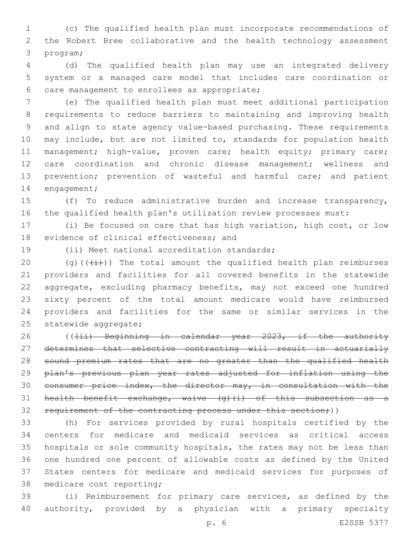(c) The qualified health plan must incorporate recommendations of the Robert Bree collaborative and the health technology assessment 3 program;

 (d) The qualified health plan may use an integrated delivery system or a managed care model that includes care coordination or 6 care management to enrollees as appropriate;

 (e) The qualified health plan must meet additional participation requirements to reduce barriers to maintaining and improving health and align to state agency value-based purchasing. These requirements may include, but are not limited to, standards for population health 11 management; high-value, proven care; health equity; primary care; care coordination and chronic disease management; wellness and 13 prevention; prevention of wasteful and harmful care; and patient 14 engagement;

 (f) To reduce administrative burden and increase transparency, the qualified health plan's utilization review processes must:

 (i) Be focused on care that has high variation, high cost, or low 18 evidence of clinical effectiveness; and

19 (ii) Meet national accreditation standards;

20 (g)( $(\frac{1}{1})$ ) The total amount the qualified health plan reimburses providers and facilities for all covered benefits in the statewide aggregate, excluding pharmacy benefits, may not exceed one hundred sixty percent of the total amount medicare would have reimbursed providers and facilities for the same or similar services in the 25 statewide aggregate;

26 (((ii) Beginning in calendar year 2023, if the authority determines that selective contracting will result in actuarially sound premium rates that are no greater than the qualified health 29 plan's previous plan year rates adjusted for inflation using the consumer price index, the director may, in consultation with the health benefit exchange, waive (g)(i) of this subsection as a 32 requirement of the contracting process under this section;))

 (h) For services provided by rural hospitals certified by the centers for medicare and medicaid services as critical access hospitals or sole community hospitals, the rates may not be less than one hundred one percent of allowable costs as defined by the United States centers for medicare and medicaid services for purposes of 38 medicare cost reporting;

 (i) Reimbursement for primary care services, as defined by the authority, provided by a physician with a primary specialty

p. 6 E2SSB 5377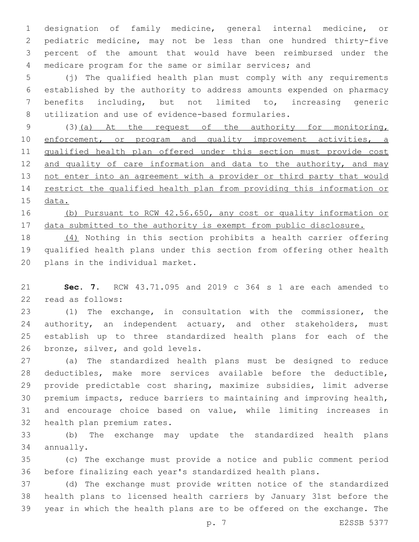designation of family medicine, general internal medicine, or pediatric medicine, may not be less than one hundred thirty-five percent of the amount that would have been reimbursed under the medicare program for the same or similar services; and

 (j) The qualified health plan must comply with any requirements established by the authority to address amounts expended on pharmacy benefits including, but not limited to, increasing generic 8 utilization and use of evidence-based formularies.

9 (3)(a) At the request of the authority for monitoring, 10 enforcement, or program and quality improvement activities, a qualified health plan offered under this section must provide cost 12 and quality of care information and data to the authority, and may not enter into an agreement with a provider or third party that would restrict the qualified health plan from providing this information or data.

 (b) Pursuant to RCW 42.56.650, any cost or quality information or 17 data submitted to the authority is exempt from public disclosure.

 (4) Nothing in this section prohibits a health carrier offering qualified health plans under this section from offering other health 20 plans in the individual market.

 **Sec. 7.** RCW 43.71.095 and 2019 c 364 s 1 are each amended to 22 read as follows:

 (1) The exchange, in consultation with the commissioner, the 24 authority, an independent actuary, and other stakeholders, must establish up to three standardized health plans for each of the 26 bronze, silver, and gold levels.

 (a) The standardized health plans must be designed to reduce deductibles, make more services available before the deductible, provide predictable cost sharing, maximize subsidies, limit adverse premium impacts, reduce barriers to maintaining and improving health, and encourage choice based on value, while limiting increases in 32 health plan premium rates.

 (b) The exchange may update the standardized health plans 34 annually.

 (c) The exchange must provide a notice and public comment period before finalizing each year's standardized health plans.

 (d) The exchange must provide written notice of the standardized health plans to licensed health carriers by January 31st before the year in which the health plans are to be offered on the exchange. The